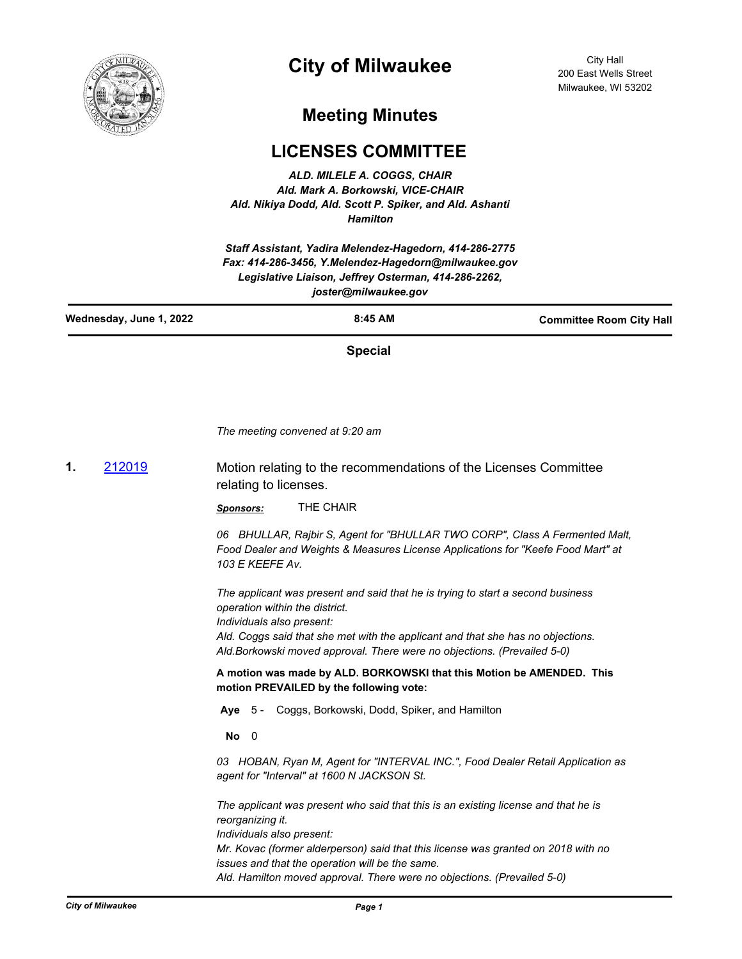

## **City of Milwaukee**

City Hall 200 East Wells Street Milwaukee, WI 53202

## **Meeting Minutes**

## **LICENSES COMMITTEE**

*ALD. MILELE A. COGGS, CHAIR Ald. Mark A. Borkowski, VICE-CHAIR Ald. Nikiya Dodd, Ald. Scott P. Spiker, and Ald. Ashanti Hamilton*

*Staff Assistant, Yadira Melendez-Hagedorn, 414-286-2775 Fax: 414-286-3456, Y.Melendez-Hagedorn@milwaukee.gov Legislative Liaison, Jeffrey Osterman, 414-286-2262, joster@milwaukee.gov*

| Wednesday, June 1, 2022 | $8:45$ AM | <b>Committee Room City Hall</b> |
|-------------------------|-----------|---------------------------------|
|                         |           |                                 |

**Special**

*The meeting convened at 9:20 am*

**1.** [212019](http://milwaukee.legistar.com/gateway.aspx?m=l&id=/matter.aspx?key=61767) Motion relating to the recommendations of the Licenses Committee relating to licenses.

*Sponsors:* THE CHAIR

*06 BHULLAR, Rajbir S, Agent for "BHULLAR TWO CORP", Class A Fermented Malt, Food Dealer and Weights & Measures License Applications for "Keefe Food Mart" at 103 E KEEFE Av.* 

*The applicant was present and said that he is trying to start a second business operation within the district.*

*Individuals also present:*

*Ald. Coggs said that she met with the applicant and that she has no objections. Ald.Borkowski moved approval. There were no objections. (Prevailed 5-0)*

**A motion was made by ALD. BORKOWSKI that this Motion be AMENDED. This motion PREVAILED by the following vote:**

**Aye** 5 - Coggs, Borkowski, Dodd, Spiker, and Hamilton

**No** 0

*03 HOBAN, Ryan M, Agent for "INTERVAL INC.", Food Dealer Retail Application as agent for "Interval" at 1600 N JACKSON St.* 

*The applicant was present who said that this is an existing license and that he is reorganizing it. Individuals also present: Mr. Kovac (former alderperson) said that this license was granted on 2018 with no issues and that the operation will be the same. Ald. Hamilton moved approval. There were no objections. (Prevailed 5-0)*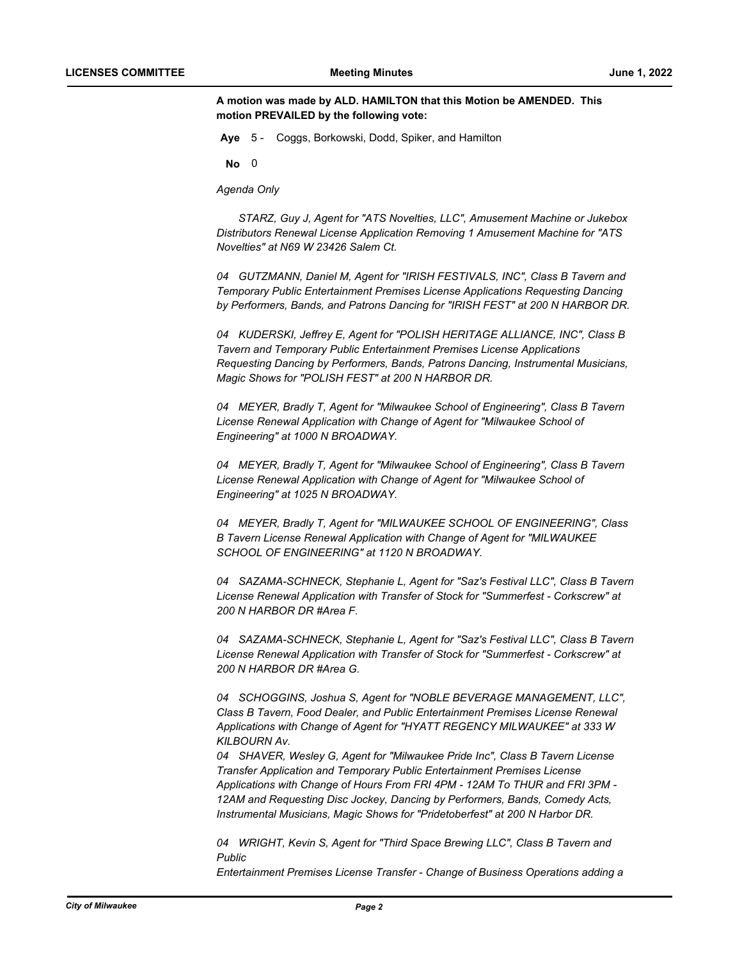**A motion was made by ALD. HAMILTON that this Motion be AMENDED. This motion PREVAILED by the following vote:**

**Aye** 5 - Coggs, Borkowski, Dodd, Spiker, and Hamilton

**No** 0

*Agenda Only* 

*STARZ, Guy J, Agent for "ATS Novelties, LLC", Amusement Machine or Jukebox Distributors Renewal License Application Removing 1 Amusement Machine for "ATS Novelties" at N69 W 23426 Salem Ct.* 

*04 GUTZMANN, Daniel M, Agent for "IRISH FESTIVALS, INC", Class B Tavern and Temporary Public Entertainment Premises License Applications Requesting Dancing by Performers, Bands, and Patrons Dancing for "IRISH FEST" at 200 N HARBOR DR.* 

*04 KUDERSKI, Jeffrey E, Agent for "POLISH HERITAGE ALLIANCE, INC", Class B Tavern and Temporary Public Entertainment Premises License Applications Requesting Dancing by Performers, Bands, Patrons Dancing, Instrumental Musicians, Magic Shows for "POLISH FEST" at 200 N HARBOR DR.* 

*04 MEYER, Bradly T, Agent for "Milwaukee School of Engineering", Class B Tavern License Renewal Application with Change of Agent for "Milwaukee School of Engineering" at 1000 N BROADWAY.* 

*04 MEYER, Bradly T, Agent for "Milwaukee School of Engineering", Class B Tavern License Renewal Application with Change of Agent for "Milwaukee School of Engineering" at 1025 N BROADWAY.* 

*04 MEYER, Bradly T, Agent for "MILWAUKEE SCHOOL OF ENGINEERING", Class B Tavern License Renewal Application with Change of Agent for "MILWAUKEE SCHOOL OF ENGINEERING" at 1120 N BROADWAY.* 

*04 SAZAMA-SCHNECK, Stephanie L, Agent for "Saz's Festival LLC", Class B Tavern License Renewal Application with Transfer of Stock for "Summerfest - Corkscrew" at 200 N HARBOR DR #Area F.* 

*04 SAZAMA-SCHNECK, Stephanie L, Agent for "Saz's Festival LLC", Class B Tavern License Renewal Application with Transfer of Stock for "Summerfest - Corkscrew" at 200 N HARBOR DR #Area G.* 

*04 SCHOGGINS, Joshua S, Agent for "NOBLE BEVERAGE MANAGEMENT, LLC", Class B Tavern, Food Dealer, and Public Entertainment Premises License Renewal Applications with Change of Agent for "HYATT REGENCY MILWAUKEE" at 333 W KILBOURN Av.* 

*04 SHAVER, Wesley G, Agent for "Milwaukee Pride Inc", Class B Tavern License Transfer Application and Temporary Public Entertainment Premises License Applications with Change of Hours From FRI 4PM - 12AM To THUR and FRI 3PM - 12AM and Requesting Disc Jockey, Dancing by Performers, Bands, Comedy Acts, Instrumental Musicians, Magic Shows for "Pridetoberfest" at 200 N Harbor DR.* 

*04 WRIGHT, Kevin S, Agent for "Third Space Brewing LLC", Class B Tavern and Public* 

*Entertainment Premises License Transfer - Change of Business Operations adding a*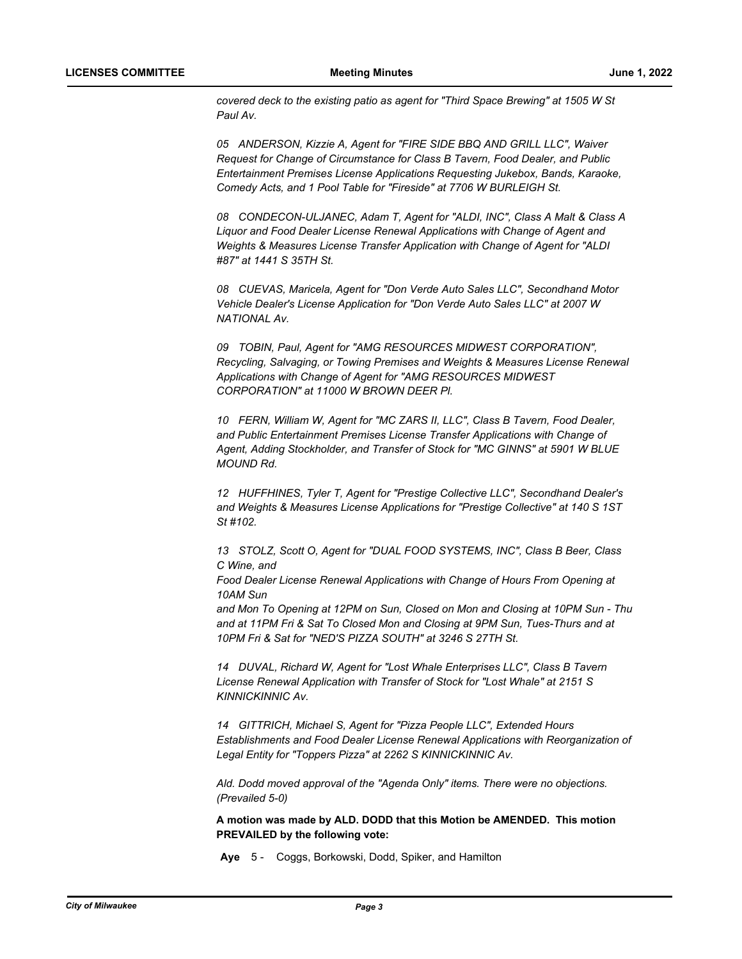*covered deck to the existing patio as agent for "Third Space Brewing" at 1505 W St Paul Av.* 

*05 ANDERSON, Kizzie A, Agent for "FIRE SIDE BBQ AND GRILL LLC", Waiver Request for Change of Circumstance for Class B Tavern, Food Dealer, and Public Entertainment Premises License Applications Requesting Jukebox, Bands, Karaoke, Comedy Acts, and 1 Pool Table for "Fireside" at 7706 W BURLEIGH St.* 

*08 CONDECON-ULJANEC, Adam T, Agent for "ALDI, INC", Class A Malt & Class A Liquor and Food Dealer License Renewal Applications with Change of Agent and Weights & Measures License Transfer Application with Change of Agent for "ALDI #87" at 1441 S 35TH St.* 

*08 CUEVAS, Maricela, Agent for "Don Verde Auto Sales LLC", Secondhand Motor Vehicle Dealer's License Application for "Don Verde Auto Sales LLC" at 2007 W NATIONAL Av.* 

*09 TOBIN, Paul, Agent for "AMG RESOURCES MIDWEST CORPORATION", Recycling, Salvaging, or Towing Premises and Weights & Measures License Renewal Applications with Change of Agent for "AMG RESOURCES MIDWEST CORPORATION" at 11000 W BROWN DEER Pl.* 

*10 FERN, William W, Agent for "MC ZARS II, LLC", Class B Tavern, Food Dealer, and Public Entertainment Premises License Transfer Applications with Change of Agent, Adding Stockholder, and Transfer of Stock for "MC GINNS" at 5901 W BLUE MOUND Rd.* 

*12 HUFFHINES, Tyler T, Agent for "Prestige Collective LLC", Secondhand Dealer's and Weights & Measures License Applications for "Prestige Collective" at 140 S 1ST St #102.* 

*13 STOLZ, Scott O, Agent for "DUAL FOOD SYSTEMS, INC", Class B Beer, Class C Wine, and* 

*Food Dealer License Renewal Applications with Change of Hours From Opening at 10AM Sun* 

*and Mon To Opening at 12PM on Sun, Closed on Mon and Closing at 10PM Sun - Thu and at 11PM Fri & Sat To Closed Mon and Closing at 9PM Sun, Tues-Thurs and at 10PM Fri & Sat for "NED'S PIZZA SOUTH" at 3246 S 27TH St.* 

*14 DUVAL, Richard W, Agent for "Lost Whale Enterprises LLC", Class B Tavern License Renewal Application with Transfer of Stock for "Lost Whale" at 2151 S KINNICKINNIC Av.* 

*14 GITTRICH, Michael S, Agent for "Pizza People LLC", Extended Hours Establishments and Food Dealer License Renewal Applications with Reorganization of Legal Entity for "Toppers Pizza" at 2262 S KINNICKINNIC Av.* 

*Ald. Dodd moved approval of the "Agenda Only" items. There were no objections. (Prevailed 5-0)*

**A motion was made by ALD. DODD that this Motion be AMENDED. This motion PREVAILED by the following vote:**

**Aye** 5 - Coggs, Borkowski, Dodd, Spiker, and Hamilton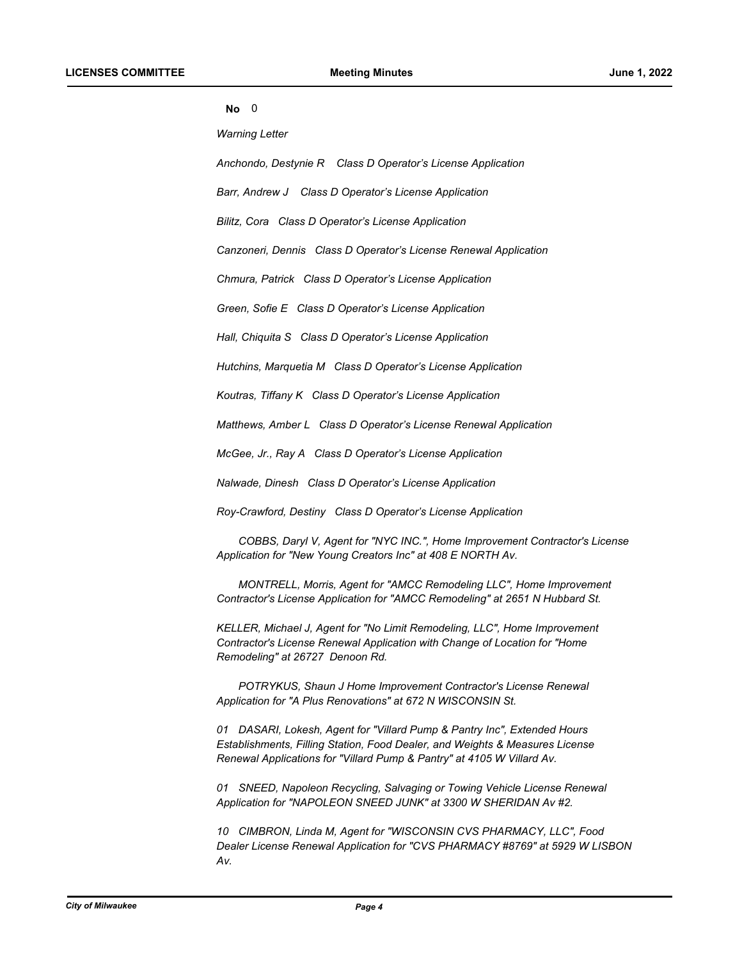| ×<br>ï<br>M<br>v | I<br>÷<br>۰. |
|------------------|--------------|
|                  |              |

*Warning Letter* 

*Anchondo, Destynie R Class D Operator's License Application* 

*Barr, Andrew J Class D Operator's License Application* 

*Bilitz, Cora Class D Operator's License Application* 

*Canzoneri, Dennis Class D Operator's License Renewal Application* 

*Chmura, Patrick Class D Operator's License Application* 

*Green, Sofie E Class D Operator's License Application* 

*Hall, Chiquita S Class D Operator's License Application* 

*Hutchins, Marquetia M Class D Operator's License Application* 

*Koutras, Tiffany K Class D Operator's License Application* 

*Matthews, Amber L Class D Operator's License Renewal Application* 

*McGee, Jr., Ray A Class D Operator's License Application* 

*Nalwade, Dinesh Class D Operator's License Application* 

*Roy-Crawford, Destiny Class D Operator's License Application* 

*COBBS, Daryl V, Agent for "NYC INC.", Home Improvement Contractor's License Application for "New Young Creators Inc" at 408 E NORTH Av.* 

*MONTRELL, Morris, Agent for "AMCC Remodeling LLC", Home Improvement Contractor's License Application for "AMCC Remodeling" at 2651 N Hubbard St.* 

*KELLER, Michael J, Agent for "No Limit Remodeling, LLC", Home Improvement Contractor's License Renewal Application with Change of Location for "Home Remodeling" at 26727 Denoon Rd.* 

*POTRYKUS, Shaun J Home Improvement Contractor's License Renewal Application for "A Plus Renovations" at 672 N WISCONSIN St.* 

*01 DASARI, Lokesh, Agent for "Villard Pump & Pantry Inc", Extended Hours Establishments, Filling Station, Food Dealer, and Weights & Measures License Renewal Applications for "Villard Pump & Pantry" at 4105 W Villard Av.* 

*01 SNEED, Napoleon Recycling, Salvaging or Towing Vehicle License Renewal Application for "NAPOLEON SNEED JUNK" at 3300 W SHERIDAN Av #2.* 

*10 CIMBRON, Linda M, Agent for "WISCONSIN CVS PHARMACY, LLC", Food Dealer License Renewal Application for "CVS PHARMACY #8769" at 5929 W LISBON Av.*